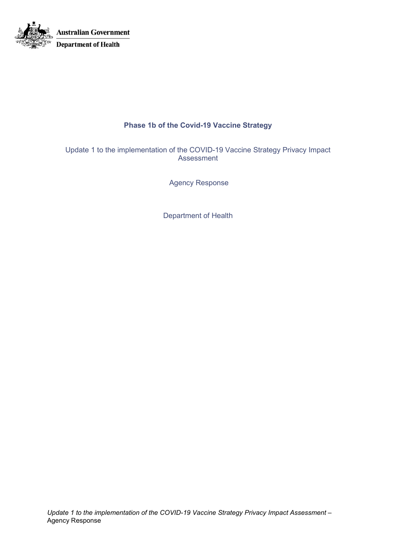

# **Phase 1b of the Covid-19 Vaccine Strategy**

Update 1 to the implementation of the COVID-19 Vaccine Strategy Privacy Impact Assessment

Agency Response

Department of Health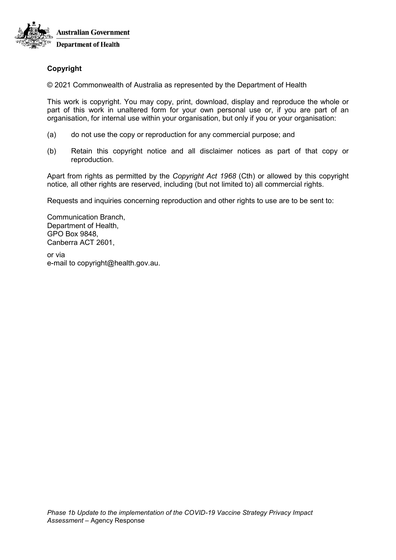

# **Copyright**

© 2021 Commonwealth of Australia as represented by the Department of Health

This work is copyright. You may copy, print, download, display and reproduce the whole or part of this work in unaltered form for your own personal use or, if you are part of an organisation, for internal use within your organisation, but only if you or your organisation:

- (a) do not use the copy or reproduction for any commercial purpose; and
- (b) Retain this copyright notice and all disclaimer notices as part of that copy or reproduction.

Apart from rights as permitted by the *Copyright Act 1968* (Cth) or allowed by this copyright notice*,* all other rights are reserved, including (but not limited to) all commercial rights.

Requests and inquiries concerning reproduction and other rights to use are to be sent to:

Communication Branch, Department of Health, GPO Box 9848, Canberra ACT 2601,

or via e-mail to copyright@health.gov.au.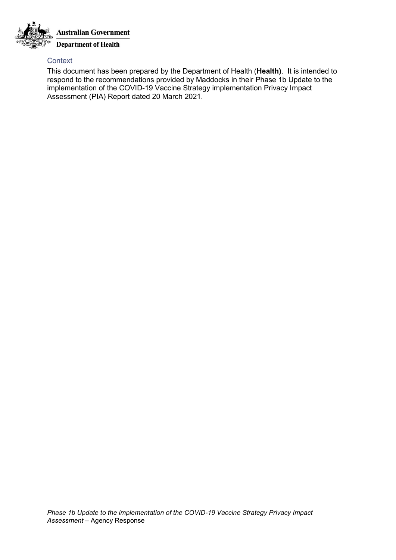

## **Context**

This document has been prepared by the Department of Health (**Health)**. It is intended to respond to the recommendations provided by Maddocks in their Phase 1b Update to the implementation of the COVID-19 Vaccine Strategy implementation Privacy Impact Assessment (PIA) Report dated 20 March 2021.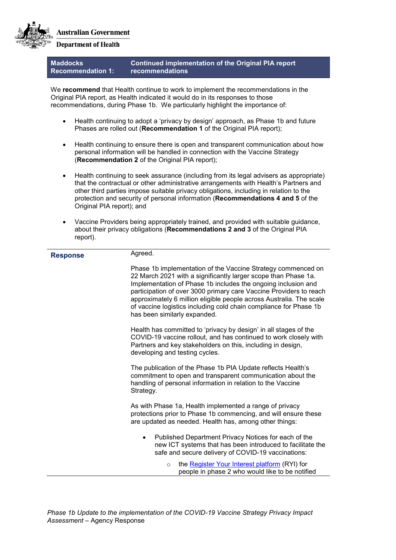

**Department of Health** 

**Maddocks Recommendation 1: Continued implementation of the Original PIA report recommendations**

We **recommend** that Health continue to work to implement the recommendations in the Original PIA report, as Health indicated it would do in its responses to those recommendations, during Phase 1b. We particularly highlight the importance of:

- Health continuing to adopt a 'privacy by design' approach, as Phase 1b and future Phases are rolled out (**Recommendation 1** of the Original PIA report);
- Health continuing to ensure there is open and transparent communication about how personal information will be handled in connection with the Vaccine Strategy (**Recommendation 2** of the Original PIA report);
- Health continuing to seek assurance (including from its legal advisers as appropriate) that the contractual or other administrative arrangements with Health's Partners and other third parties impose suitable privacy obligations, including in relation to the protection and security of personal information (**Recommendations 4 and 5** of the Original PIA report); and
- Vaccine Providers being appropriately trained, and provided with suitable guidance, about their privacy obligations (**Recommendations 2 and 3** of the Original PIA report).

| <b>Response</b> | Agreed.                                                                                                                                                                                                                                                                                                                                                                                                                                           |
|-----------------|---------------------------------------------------------------------------------------------------------------------------------------------------------------------------------------------------------------------------------------------------------------------------------------------------------------------------------------------------------------------------------------------------------------------------------------------------|
|                 | Phase 1b implementation of the Vaccine Strategy commenced on<br>22 March 2021 with a significantly larger scope than Phase 1a.<br>Implementation of Phase 1b includes the ongoing inclusion and<br>participation of over 3000 primary care Vaccine Providers to reach<br>approximately 6 million eligible people across Australia. The scale<br>of vaccine logistics including cold chain compliance for Phase 1b<br>has been similarly expanded. |
|                 | Health has committed to 'privacy by design' in all stages of the<br>COVID-19 vaccine rollout, and has continued to work closely with<br>Partners and key stakeholders on this, including in design,<br>developing and testing cycles.                                                                                                                                                                                                             |
|                 | The publication of the Phase 1b PIA Update reflects Health's<br>commitment to open and transparent communication about the<br>handling of personal information in relation to the Vaccine<br>Strategy.                                                                                                                                                                                                                                            |
|                 | As with Phase 1a, Health implemented a range of privacy<br>protections prior to Phase 1b commencing, and will ensure these<br>are updated as needed. Health has, among other things:                                                                                                                                                                                                                                                              |
|                 | Published Department Privacy Notices for each of the<br>new ICT systems that has been introduced to facilitate the<br>safe and secure delivery of COVID-19 vaccinations:                                                                                                                                                                                                                                                                          |
|                 | the <b>Register Your Interest platform</b> (RYI) for<br>$\circ$<br>people in phase 2 who would like to be notified                                                                                                                                                                                                                                                                                                                                |
|                 |                                                                                                                                                                                                                                                                                                                                                                                                                                                   |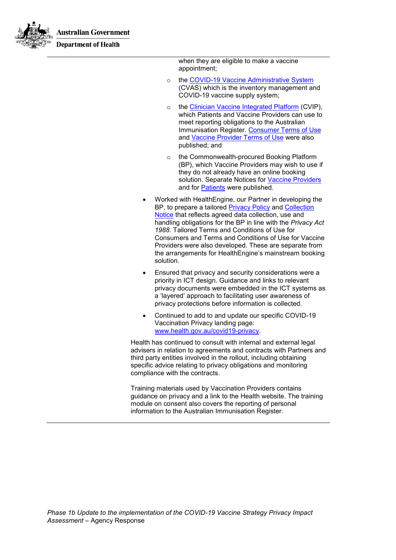

**Department of Health** 

when they are eligible to make a vaccine appointment;

- o the [COVID-19 Vaccine Administrative](https://www.health.gov.au/using-our-websites/privacy/privacy-notice-cvas) System (CVAS) which is the inventory management and COVID-19 vaccine supply system;
- o the [Clinician Vaccine Integrated](https://www.health.gov.au/using-our-websites/privacy/collection-notice-for-the-clinician-vaccine-integrated-platform-cvip) Platform (CVIP), which Patients and Vaccine Providers can use to meet reporting obligations to the Australian Immunisation Register. [Consumer Terms of Use](https://www.health.gov.au/resources/publications/clinician-vaccine-integrated-platform-check-yourself-in-form-terms-of-use) and [Vaccine Provider Terms of Use](https://www.health.gov.au/resources/publications/clinician-vaccine-integrated-platform-application-terms-of-use) were also published; and
- o the Commonwealth-procured Booking Platform (BP), which Vaccine Providers may wish to use if they do not already have an online booking solution. Separate Notices for [Vaccine Providers](https://www.health.gov.au/privacy-notice-covid-19-vaccine-booking-platform) and for [Patients](https://www.health.gov.au/privacy-notice-for-consumers-using-the-commonwealth-procured-booking-platform-for-covid-19-vaccinations) were published.
- Worked with HealthEngine, our Partner in developing the BP, to prepare a tailored [Privacy Policy](https://healthengine.com.au/legal/commonwealth/privacy.php?cid=par:hea:cbp::cbp::::mar21) and [Collection](https://healthengine.com.au/legal/commonwealth/collection.php?cid=par:hea:cbp::cbp::::mar21)  [Notice](https://healthengine.com.au/legal/commonwealth/collection.php?cid=par:hea:cbp::cbp::::mar21) that reflects agreed data collection, use and handling obligations for the BP in line with the *Privacy Act 1988*. Tailored Terms and Conditions of Use for Consumers and Terms and Conditions of Use for Vaccine Providers were also developed. These are separate from the arrangements for HealthEngine's mainstream booking solution.
- Ensured that privacy and security considerations were a priority in ICT design. Guidance and links to relevant privacy documents were embedded in the ICT systems as a 'layered' approach to facilitating user awareness of privacy protections before information is collected.
- Continued to add to and update our specific COVID-19 Vaccination Privacy landing page: [www.health.gov.au/covid19-privacy.](http://www.health.gov.au/covid19-privacy)

Health has continued to consult with internal and external legal advisers in relation to agreements and contracts with Partners and third party entities involved in the rollout, including obtaining specific advice relating to privacy obligations and monitoring compliance with the contracts.

Training materials used by Vaccination Providers contains guidance on privacy and a link to the Health website. The training module on consent also covers the reporting of personal information to the Australian Immunisation Register.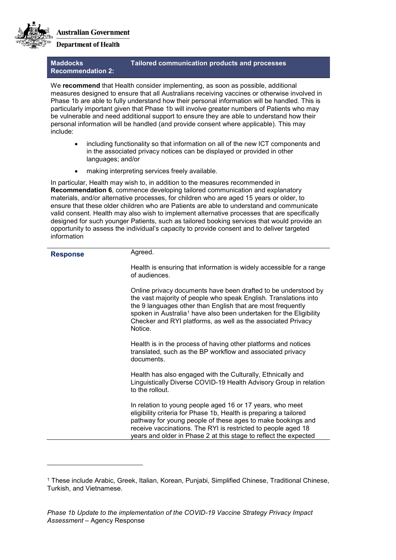

-

**Department of Health** 

## **Maddocks Recommendation 2:**

# **Tailored communication products and processes**

We **recommend** that Health consider implementing, as soon as possible, additional measures designed to ensure that all Australians receiving vaccines or otherwise involved in Phase 1b are able to fully understand how their personal information will be handled. This is particularly important given that Phase 1b will involve greater numbers of Patients who may be vulnerable and need additional support to ensure they are able to understand how their personal information will be handled (and provide consent where applicable). This may include:

- including functionality so that information on all of the new ICT components and in the associated privacy notices can be displayed or provided in other languages; and/or
- making interpreting services freely available.

In particular, Health may wish to, in addition to the measures recommended in **Recommendation 6**, commence developing tailored communication and explanatory materials, and/or alternative processes, for children who are aged 15 years or older, to ensure that these older children who are Patients are able to understand and communicate valid consent. Health may also wish to implement alternative processes that are specifically designed for such younger Patients, such as tailored booking services that would provide an opportunity to assess the individual's capacity to provide consent and to deliver targeted information

| <b>Response</b> | Agreed.                                                                                                                                                                                                                                                                                                                                                        |
|-----------------|----------------------------------------------------------------------------------------------------------------------------------------------------------------------------------------------------------------------------------------------------------------------------------------------------------------------------------------------------------------|
|                 | Health is ensuring that information is widely accessible for a range<br>of audiences                                                                                                                                                                                                                                                                           |
|                 | Online privacy documents have been drafted to be understood by<br>the vast majority of people who speak English. Translations into<br>the 9 languages other than English that are most frequently<br>spoken in Australia <sup>1</sup> have also been undertaken for the Eligibility<br>Checker and RYI platforms, as well as the associated Privacy<br>Notice. |
|                 | Health is in the process of having other platforms and notices<br>translated, such as the BP workflow and associated privacy<br>documents.                                                                                                                                                                                                                     |
|                 | Health has also engaged with the Culturally, Ethnically and<br>Linguistically Diverse COVID-19 Health Advisory Group in relation<br>to the rollout.                                                                                                                                                                                                            |
|                 | In relation to young people aged 16 or 17 years, who meet<br>eligibility criteria for Phase 1b, Health is preparing a tailored<br>pathway for young people of these ages to make bookings and<br>receive vaccinations. The RYI is restricted to people aged 18<br>years and older in Phase 2 at this stage to reflect the expected                             |

<span id="page-5-0"></span><sup>1</sup> These include Arabic, Greek, Italian, Korean, Punjabi, Simplified Chinese, Traditional Chinese, Turkish, and Vietnamese.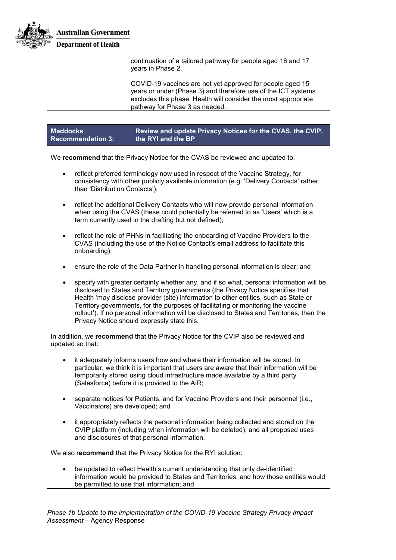

continuation of a tailored pathway for people aged 16 and 17 years in Phase 2.

COVID-19 vaccines are not yet approved for people aged 15 years or under (Phase 3) and therefore use of the ICT systems excludes this phase. Health will consider the most appropriate pathway for Phase 3 as needed.

| <b>Maddocks</b>          | Review and update Privacy Notices for the CVAS, the CVIP, $^{\dagger}$ |
|--------------------------|------------------------------------------------------------------------|
| <b>Recommendation 3:</b> | the RYI and the BP                                                     |

We **recommend** that the Privacy Notice for the CVAS be reviewed and updated to:

- reflect preferred terminology now used in respect of the Vaccine Strategy, for consistency with other publicly available information (e.g. 'Delivery Contacts' rather than 'Distribution Contacts');
- reflect the additional Delivery Contacts who will now provide personal information when using the CVAS (these could potentially be referred to as 'Users' which is a term currently used in the drafting but not defined);
- reflect the role of PHNs in facilitating the onboarding of Vaccine Providers to the CVAS (including the use of the Notice Contact's email address to facilitate this onboarding);
- ensure the role of the Data Partner in handling personal information is clear; and
- specify with greater certainty whether any, and if so what, personal information will be disclosed to States and Territory governments (the Privacy Notice specifies that Health 'may disclose provider (site) information to other entities, such as State or Territory governments, for the purposes of facilitating or monitoring the vaccine rollout'). If no personal information will be disclosed to States and Territories, then the Privacy Notice should expressly state this.

In addition, we **recommend** that the Privacy Notice for the CVIP also be reviewed and updated so that:

- it adequately informs users how and where their information will be stored. In particular, we think it is important that users are aware that their information will be temporarily stored using cloud infrastructure made available by a third party (Salesforce) before it is provided to the AIR;
- separate notices for Patients, and for Vaccine Providers and their personnel (i.e., Vaccinators) are developed; and
- it appropriately reflects the personal information being collected and stored on the CVIP platform (including when information will be deleted), and all proposed uses and disclosures of that personal information.

We also r**ecommend** that the Privacy Notice for the RYI solution:

• be updated to reflect Health's current understanding that only de-identified information would be provided to States and Territories, and how those entities would be permitted to use that information; and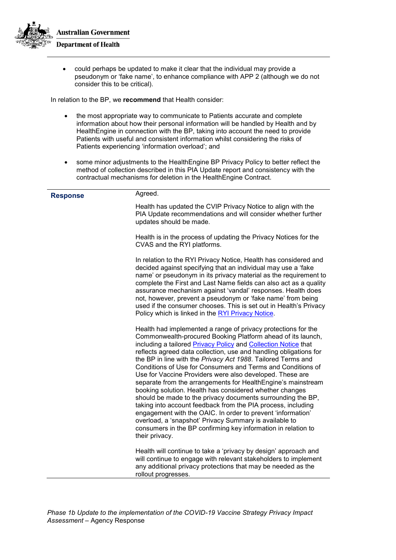

• could perhaps be updated to make it clear that the individual may provide a pseudonym or 'fake name', to enhance compliance with APP 2 (although we do not consider this to be critical).

In relation to the BP, we **recommend** that Health consider:

- the most appropriate way to communicate to Patients accurate and complete information about how their personal information will be handled by Health and by HealthEngine in connection with the BP, taking into account the need to provide Patients with useful and consistent information whilst considering the risks of Patients experiencing 'information overload'; and
- some minor adjustments to the HealthEngine BP Privacy Policy to better reflect the method of collection described in this PIA Update report and consistency with the contractual mechanisms for deletion in the HealthEngine Contract.

| <b>Response</b> | Agreed.                                                                                                                                                                                                                                                                                                                                                                                                                                                                                                                                                                                                                                                                                                                                                                                                                                                                                                                              |
|-----------------|--------------------------------------------------------------------------------------------------------------------------------------------------------------------------------------------------------------------------------------------------------------------------------------------------------------------------------------------------------------------------------------------------------------------------------------------------------------------------------------------------------------------------------------------------------------------------------------------------------------------------------------------------------------------------------------------------------------------------------------------------------------------------------------------------------------------------------------------------------------------------------------------------------------------------------------|
|                 | Health has updated the CVIP Privacy Notice to align with the<br>PIA Update recommendations and will consider whether further<br>updates should be made.                                                                                                                                                                                                                                                                                                                                                                                                                                                                                                                                                                                                                                                                                                                                                                              |
|                 | Health is in the process of updating the Privacy Notices for the<br>CVAS and the RYI platforms.                                                                                                                                                                                                                                                                                                                                                                                                                                                                                                                                                                                                                                                                                                                                                                                                                                      |
|                 | In relation to the RYI Privacy Notice, Health has considered and<br>decided against specifying that an individual may use a 'fake<br>name' or pseudonym in its privacy material as the requirement to<br>complete the First and Last Name fields can also act as a quality<br>assurance mechanism against 'vandal' responses. Health does<br>not, however, prevent a pseudonym or 'fake name' from being<br>used if the consumer chooses. This is set out in Health's Privacy<br>Policy which is linked in the RYI Privacy Notice.                                                                                                                                                                                                                                                                                                                                                                                                   |
|                 | Health had implemented a range of privacy protections for the<br>Commonwealth-procured Booking Platform ahead of its launch,<br>including a tailored Privacy Policy and Collection Notice that<br>reflects agreed data collection, use and handling obligations for<br>the BP in line with the Privacy Act 1988. Tailored Terms and<br>Conditions of Use for Consumers and Terms and Conditions of<br>Use for Vaccine Providers were also developed. These are<br>separate from the arrangements for HealthEngine's mainstream<br>booking solution. Health has considered whether changes<br>should be made to the privacy documents surrounding the BP,<br>taking into account feedback from the PIA process, including<br>engagement with the OAIC. In order to prevent 'information'<br>overload, a 'snapshot' Privacy Summary is available to<br>consumers in the BP confirming key information in relation to<br>their privacy. |
|                 | Health will continue to take a 'privacy by design' approach and<br>will continue to engage with relevant stakeholders to implement<br>any additional privacy protections that may be needed as the<br>rollout progresses.                                                                                                                                                                                                                                                                                                                                                                                                                                                                                                                                                                                                                                                                                                            |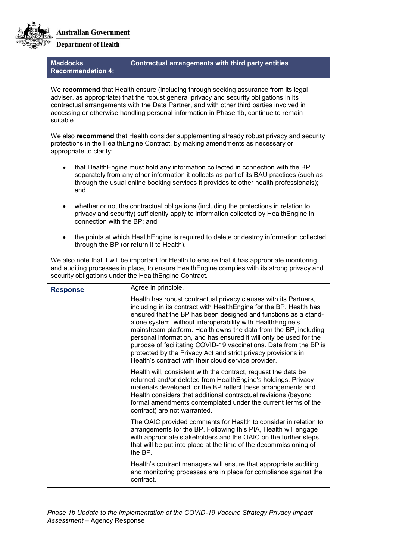

# **Department of Health**

## **Maddocks Recommendation 4:**

# **Contractual arrangements with third party entities**

We **recommend** that Health ensure (including through seeking assurance from its legal adviser, as appropriate) that the robust general privacy and security obligations in its contractual arrangements with the Data Partner, and with other third parties involved in accessing or otherwise handling personal information in Phase 1b, continue to remain suitable.

We also **recommend** that Health consider supplementing already robust privacy and security protections in the HealthEngine Contract, by making amendments as necessary or appropriate to clarify:

- that HealthEngine must hold any information collected in connection with the BP separately from any other information it collects as part of its BAU practices (such as through the usual online booking services it provides to other health professionals); and
- whether or not the contractual obligations (including the protections in relation to privacy and security) sufficiently apply to information collected by HealthEngine in connection with the BP; and
- the points at which HealthEngine is required to delete or destroy information collected through the BP (or return it to Health).

We also note that it will be important for Health to ensure that it has appropriate monitoring and auditing processes in place, to ensure HealthEngine complies with its strong privacy and security obligations under the HealthEngine Contract.

| <b>Response</b> | Agree in principle.                                                                                                                                                                                                                                                                                                                                                                                                                                                                                                                                                                                              |
|-----------------|------------------------------------------------------------------------------------------------------------------------------------------------------------------------------------------------------------------------------------------------------------------------------------------------------------------------------------------------------------------------------------------------------------------------------------------------------------------------------------------------------------------------------------------------------------------------------------------------------------------|
|                 | Health has robust contractual privacy clauses with its Partners,<br>including in its contract with HealthEngine for the BP. Health has<br>ensured that the BP has been designed and functions as a stand-<br>alone system, without interoperability with HealthEngine's<br>mainstream platform. Health owns the data from the BP, including<br>personal information, and has ensured it will only be used for the<br>purpose of facilitating COVID-19 vaccinations. Data from the BP is<br>protected by the Privacy Act and strict privacy provisions in<br>Health's contract with their cloud service provider. |
|                 | Health will, consistent with the contract, request the data be<br>returned and/or deleted from HealthEngine's holdings. Privacy<br>materials developed for the BP reflect these arrangements and<br>Health considers that additional contractual revisions (beyond<br>formal amendments contemplated under the current terms of the<br>contract) are not warranted.                                                                                                                                                                                                                                              |
|                 | The OAIC provided comments for Health to consider in relation to<br>arrangements for the BP. Following this PIA, Health will engage<br>with appropriate stakeholders and the OAIC on the further steps<br>that will be put into place at the time of the decommissioning of<br>the BP.                                                                                                                                                                                                                                                                                                                           |
|                 | Health's contract managers will ensure that appropriate auditing<br>and monitoring processes are in place for compliance against the<br>contract.                                                                                                                                                                                                                                                                                                                                                                                                                                                                |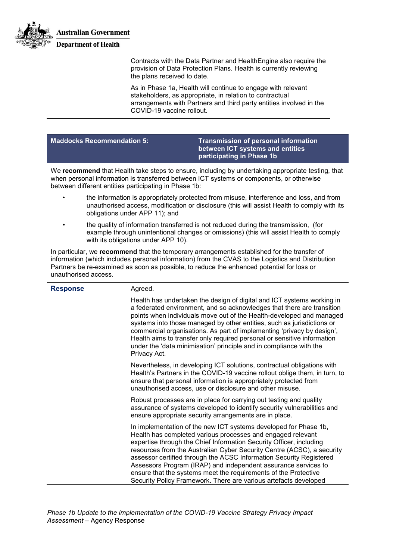

Contracts with the Data Partner and HealthEngine also require the provision of Data Protection Plans. Health is currently reviewing the plans received to date.

As in Phase 1a, Health will continue to engage with relevant stakeholders, as appropriate, in relation to contractual arrangements with Partners and third party entities involved in the COVID-19 vaccine rollout.

**Maddocks Recommendation 5: Transmission of personal information between ICT systems and entities participating in Phase 1b**

We **recommend** that Health take steps to ensure, including by undertaking appropriate testing, that when personal information is transferred between ICT systems or components, or otherwise between different entities participating in Phase 1b:

- the information is appropriately protected from misuse, interference and loss, and from unauthorised access, modification or disclosure (this will assist Health to comply with its obligations under APP 11); and
- the quality of information transferred is not reduced during the transmission, (for example through unintentional changes or omissions) (this will assist Health to comply with its obligations under APP 10).

In particular, we **recommend** that the temporary arrangements established for the transfer of information (which includes personal information) from the CVAS to the Logistics and Distribution Partners be re-examined as soon as possible, to reduce the enhanced potential for loss or unauthorised access.

| <b>Response</b> | Agreed.                                                                                                                                                                                                                                                                                                                                                                                                                                                                                                                                                          |
|-----------------|------------------------------------------------------------------------------------------------------------------------------------------------------------------------------------------------------------------------------------------------------------------------------------------------------------------------------------------------------------------------------------------------------------------------------------------------------------------------------------------------------------------------------------------------------------------|
|                 | Health has undertaken the design of digital and ICT systems working in<br>a federated environment, and so acknowledges that there are transition<br>points when individuals move out of the Health-developed and managed<br>systems into those managed by other entities, such as jurisdictions or<br>commercial organisations. As part of implementing 'privacy by design',<br>Health aims to transfer only required personal or sensitive information<br>under the 'data minimisation' principle and in compliance with the<br>Privacy Act.                    |
|                 | Nevertheless, in developing ICT solutions, contractual obligations with<br>Health's Partners in the COVID-19 vaccine rollout oblige them, in turn, to<br>ensure that personal information is appropriately protected from<br>unauthorised access, use or disclosure and other misuse.                                                                                                                                                                                                                                                                            |
|                 | Robust processes are in place for carrying out testing and quality<br>assurance of systems developed to identify security vulnerabilities and<br>ensure appropriate security arrangements are in place.                                                                                                                                                                                                                                                                                                                                                          |
|                 | In implementation of the new ICT systems developed for Phase 1b,<br>Health has completed various processes and engaged relevant<br>expertise through the Chief Information Security Officer, including<br>resources from the Australian Cyber Security Centre (ACSC), a security<br>assessor certified through the ACSC Information Security Registered<br>Assessors Program (IRAP) and independent assurance services to<br>ensure that the systems meet the requirements of the Protective<br>Security Policy Framework. There are various artefacts developed |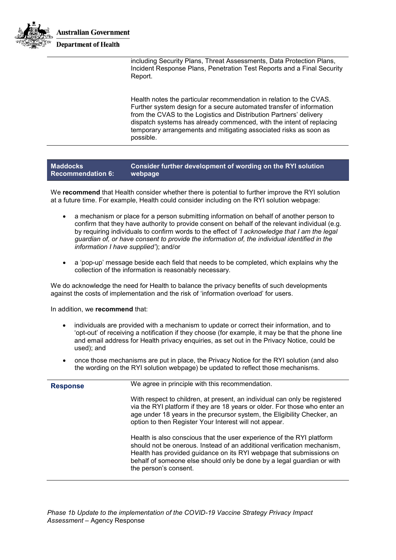

including Security Plans, Threat Assessments, Data Protection Plans, Incident Response Plans, Penetration Test Reports and a Final Security Report.

Health notes the particular recommendation in relation to the CVAS. Further system design for a secure automated transfer of information from the CVAS to the Logistics and Distribution Partners' delivery dispatch systems has already commenced, with the intent of replacing temporary arrangements and mitigating associated risks as soon as possible.

#### **Maddocks Recommendation 6: Consider further development of wording on the RYI solution webpage**

We **recommend** that Health consider whether there is potential to further improve the RYI solution at a future time. For example, Health could consider including on the RYI solution webpage:

- a mechanism or place for a person submitting information on behalf of another person to confirm that they have authority to provide consent on behalf of the relevant individual (e.g. by requiring individuals to confirm words to the effect of *'I acknowledge that I am the legal guardian of, or have consent to provide the information of, the individual identified in the information I have supplied'*); and/or
- a 'pop-up' message beside each field that needs to be completed, which explains why the collection of the information is reasonably necessary.

We do acknowledge the need for Health to balance the privacy benefits of such developments against the costs of implementation and the risk of 'information overload' for users.

In addition, we **recommend** that:

- individuals are provided with a mechanism to update or correct their information, and to 'opt-out' of receiving a notification if they choose (for example, it may be that the phone line and email address for Health privacy enquiries, as set out in the Privacy Notice, could be used); and
- once those mechanisms are put in place, the Privacy Notice for the RYI solution (and also the wording on the RYI solution webpage) be updated to reflect those mechanisms.

| <b>Response</b> | We agree in principle with this recommendation.                                                                                                                                                                                                                                                                            |
|-----------------|----------------------------------------------------------------------------------------------------------------------------------------------------------------------------------------------------------------------------------------------------------------------------------------------------------------------------|
|                 | With respect to children, at present, an individual can only be registered<br>via the RYI platform if they are 18 years or older. For those who enter an<br>age under 18 years in the precursor system, the Eligibility Checker, an<br>option to then Register Your Interest will not appear.                              |
|                 | Health is also conscious that the user experience of the RYI platform<br>should not be onerous. Instead of an additional verification mechanism,<br>Health has provided guidance on its RYI webpage that submissions on<br>behalf of someone else should only be done by a legal guardian or with<br>the person's consent. |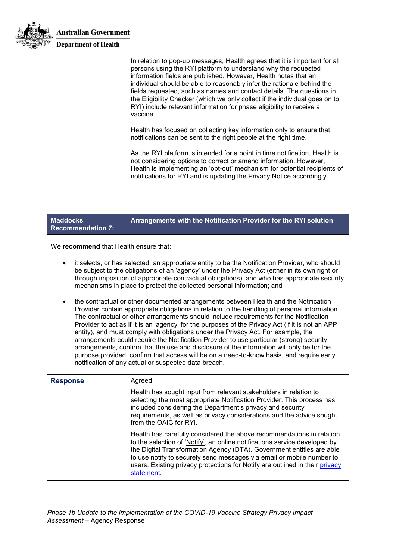

**Maddocks** 

In relation to pop-up messages, Health agrees that it is important for all persons using the RYI platform to understand why the requested information fields are published. However, Health notes that an individual should be able to reasonably infer the rationale behind the fields requested, such as names and contact details. The questions in the Eligibility Checker (which we only collect if the individual goes on to RYI) include relevant information for phase eligibility to receive a vaccine.

Health has focused on collecting key information only to ensure that notifications can be sent to the right people at the right time.

As the RYI platform is intended for a point in time notification, Health is not considering options to correct or amend information. However, Health is implementing an 'opt-out' mechanism for potential recipients of notifications for RYI and is updating the Privacy Notice accordingly.

### **Recommendation 7: Arrangements with the Notification Provider for the RYI solution**

We **recommend** that Health ensure that:

- it selects, or has selected, an appropriate entity to be the Notification Provider, who should be subject to the obligations of an 'agency' under the Privacy Act (either in its own right or through imposition of appropriate contractual obligations), and who has appropriate security mechanisms in place to protect the collected personal information; and
- the contractual or other documented arrangements between Health and the Notification Provider contain appropriate obligations in relation to the handling of personal information. The contractual or other arrangements should include requirements for the Notification Provider to act as if it is an 'agency' for the purposes of the Privacy Act (if it is not an APP entity), and must comply with obligations under the Privacy Act. For example, the arrangements could require the Notification Provider to use particular (strong) security arrangements, confirm that the use and disclosure of the information will only be for the purpose provided, confirm that access will be on a need-to-know basis, and require early notification of any actual or suspected data breach.

| <b>Response</b> | Agreed.                                                                                                                                                                                                                                                                                                                                                                                             |
|-----------------|-----------------------------------------------------------------------------------------------------------------------------------------------------------------------------------------------------------------------------------------------------------------------------------------------------------------------------------------------------------------------------------------------------|
|                 | Health has sought input from relevant stakeholders in relation to<br>selecting the most appropriate Notification Provider. This process has<br>included considering the Department's privacy and security<br>requirements, as well as privacy considerations and the advice sought<br>from the OAIC for RYI.                                                                                        |
|                 | Health has carefully considered the above recommendations in relation<br>to the selection of 'Notify', an online notifications service developed by<br>the Digital Transformation Agency (DTA). Government entities are able<br>to use notify to securely send messages via email or mobile number to<br>users. Existing privacy protections for Notify are outlined in their privacy<br>statement. |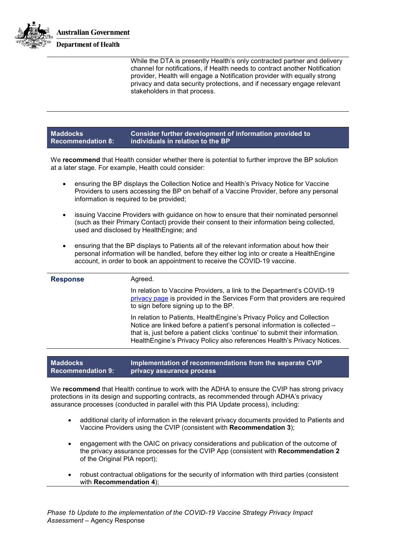

While the DTA is presently Health's only contracted partner and delivery channel for notifications, if Health needs to contract another Notification provider, Health will engage a Notification provider with equally strong privacy and data security protections, and if necessary engage relevant stakeholders in that process.

#### **Maddocks Recommendation 8: Consider further development of information provided to individuals in relation to the BP**

We **recommend** that Health consider whether there is potential to further improve the BP solution at a later stage. For example, Health could consider:

- ensuring the BP displays the Collection Notice and Health's Privacy Notice for Vaccine Providers to users accessing the BP on behalf of a Vaccine Provider, before any personal information is required to be provided;
- issuing Vaccine Providers with guidance on how to ensure that their nominated personnel (such as their Primary Contact) provide their consent to their information being collected, used and disclosed by HealthEngine; and
- ensuring that the BP displays to Patients all of the relevant information about how their personal information will be handled, before they either log into or create a HealthEngine account, in order to book an appointment to receive the COVID-19 vaccine.

| <b>Response</b> | Agreed.                                                                                                                                                                                                                                                                                                        |
|-----------------|----------------------------------------------------------------------------------------------------------------------------------------------------------------------------------------------------------------------------------------------------------------------------------------------------------------|
|                 | In relation to Vaccine Providers, a link to the Department's COVID-19<br>privacy page is provided in the Services Form that providers are required<br>to sign before signing up to the BP.                                                                                                                     |
|                 | In relation to Patients, Health Engine's Privacy Policy and Collection<br>Notice are linked before a patient's personal information is collected -<br>that is, just before a patient clicks 'continue' to submit their information.<br>HealthEngine's Privacy Policy also references Health's Privacy Notices. |
|                 |                                                                                                                                                                                                                                                                                                                |

#### **Maddocks Recommendation 9: Implementation of recommendations from the separate CVIP privacy assurance process**

We **recommend** that Health continue to work with the ADHA to ensure the CVIP has strong privacy protections in its design and supporting contracts, as recommended through ADHA's privacy assurance processes (conducted in parallel with this PIA Update process), including:

- additional clarity of information in the relevant privacy documents provided to Patients and Vaccine Providers using the CVIP (consistent with **Recommendation 3**);
- engagement with the OAIC on privacy considerations and publication of the outcome of the privacy assurance processes for the CVIP App (consistent with **Recommendation 2** of the Original PIA report);
- robust contractual obligations for the security of information with third parties (consistent with **Recommendation 4**);